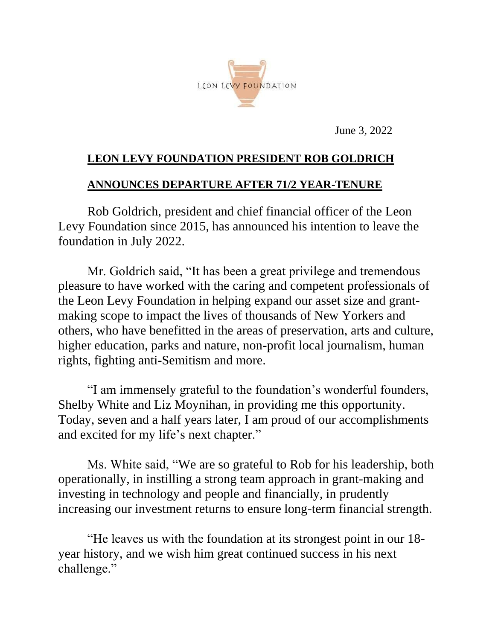

June 3, 2022

## **LEON LEVY FOUNDATION PRESIDENT ROB GOLDRICH**

## **ANNOUNCES DEPARTURE AFTER 71/2 YEAR-TENURE**

Rob Goldrich, president and chief financial officer of the Leon Levy Foundation since 2015, has announced his intention to leave the foundation in July 2022.

Mr. Goldrich said, "It has been a great privilege and tremendous pleasure to have worked with the caring and competent professionals of the Leon Levy Foundation in helping expand our asset size and grantmaking scope to impact the lives of thousands of New Yorkers and others, who have benefitted in the areas of preservation, arts and culture, higher education, parks and nature, non-profit local journalism, human rights, fighting anti-Semitism and more.

"I am immensely grateful to the foundation's wonderful founders, Shelby White and Liz Moynihan, in providing me this opportunity. Today, seven and a half years later, I am proud of our accomplishments and excited for my life's next chapter."

Ms. White said, "We are so grateful to Rob for his leadership, both operationally, in instilling a strong team approach in grant-making and investing in technology and people and financially, in prudently increasing our investment returns to ensure long-term financial strength.

"He leaves us with the foundation at its strongest point in our 18 year history, and we wish him great continued success in his next challenge."